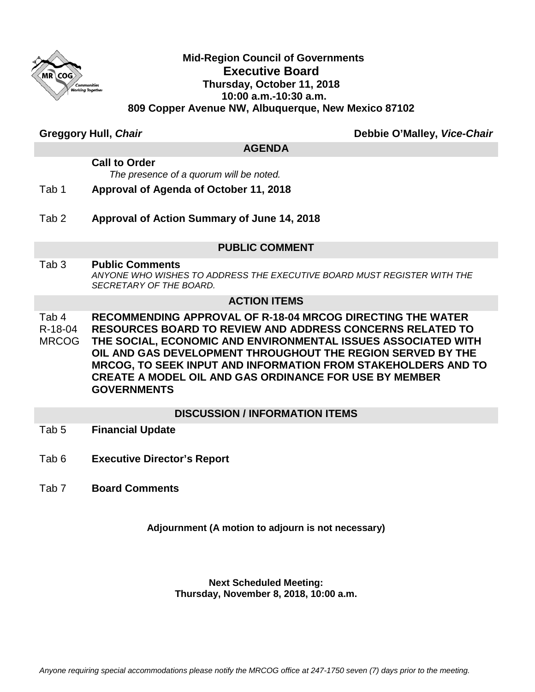

### **Mid-Region Council of Governments Executive Board Thursday, October 11, 2018 10:00 a.m.-10:30 a.m. 809 Copper Avenue NW, Albuquerque, New Mexico 87102**

**Greggory Hull,** *Chair* **Debbie O'Malley,** *Vice-Chair*

#### **AGENDA**

#### **Call to Order**  *The presence of a quorum will be noted.*

- Tab 1 **Approval of Agenda of October 11, 2018**
- Tab 2 **Approval of Action Summary of June 14, 2018**

#### **PUBLIC COMMENT**

Tab 3 **Public Comments** *ANYONE WHO WISHES TO ADDRESS THE EXECUTIVE BOARD MUST REGISTER WITH THE SECRETARY OF THE BOARD.*

#### **ACTION ITEMS**

Tab 4 R-18-04 MRCOG **RECOMMENDING APPROVAL OF R-18-04 MRCOG DIRECTING THE WATER RESOURCES BOARD TO REVIEW AND ADDRESS CONCERNS RELATED TO THE SOCIAL, ECONOMIC AND ENVIRONMENTAL ISSUES ASSOCIATED WITH OIL AND GAS DEVELOPMENT THROUGHOUT THE REGION SERVED BY THE MRCOG, TO SEEK INPUT AND INFORMATION FROM STAKEHOLDERS AND TO CREATE A MODEL OIL AND GAS ORDINANCE FOR USE BY MEMBER GOVERNMENTS**

#### **DISCUSSION / INFORMATION ITEMS**

- Tab 5 **Financial Update**
- Tab 6 **Executive Director's Report**
- Tab 7 **Board Comments**

#### **Adjournment (A motion to adjourn is not necessary)**

#### **Next Scheduled Meeting: Thursday, November 8, 2018, 10:00 a.m.**

*Anyone requiring special accommodations please notify the MRCOG office at 247-1750 seven (7) days prior to the meeting.*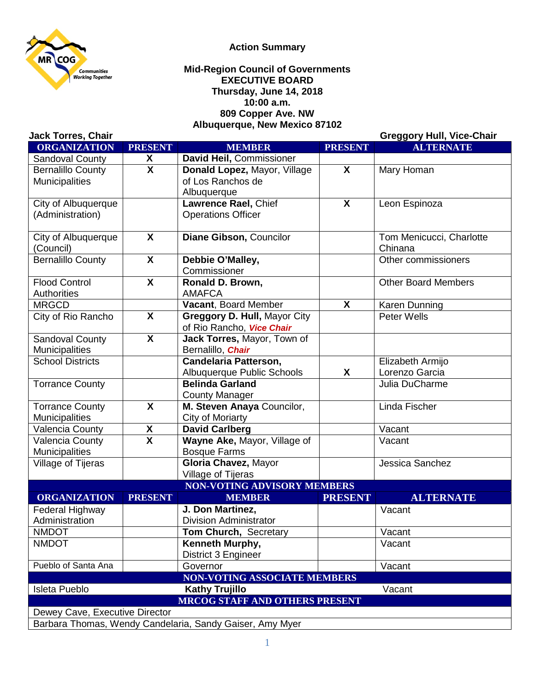

#### **Action Summary**

#### **Mid-Region Council of Governments EXECUTIVE BOARD Thursday, June 14, 2018 10:00 a.m. 809 Copper Ave. NW Albuquerque, New Mexico 87102**

| <b>Jack Torres, Chair</b>                                |                           |                                     |                | <b>Greggory Hull, Vice-Chair</b> |
|----------------------------------------------------------|---------------------------|-------------------------------------|----------------|----------------------------------|
| <b>ORGANIZATION</b>                                      | <b>PRESENT</b>            | <b>MEMBER</b>                       | <b>PRESENT</b> | <b>ALTERNATE</b>                 |
| Sandoval County                                          | X                         | David Heil, Commissioner            |                |                                  |
| <b>Bernalillo County</b>                                 | $\overline{\mathbf{x}}$   | Donald Lopez, Mayor, Village        | $\mathsf{X}$   | Mary Homan                       |
| <b>Municipalities</b>                                    |                           | of Los Ranchos de                   |                |                                  |
|                                                          |                           | Albuquerque                         |                |                                  |
| City of Albuquerque                                      |                           | Lawrence Rael, Chief                | $\mathsf{X}$   | Leon Espinoza                    |
| (Administration)                                         |                           | <b>Operations Officer</b>           |                |                                  |
|                                                          |                           |                                     |                |                                  |
| City of Albuquerque                                      | $\overline{\mathbf{X}}$   | Diane Gibson, Councilor             |                | Tom Menicucci, Charlotte         |
| (Council)                                                |                           |                                     |                | Chinana                          |
| <b>Bernalillo County</b>                                 | $\boldsymbol{\mathsf{X}}$ | Debbie O'Malley,                    |                | Other commissioners              |
|                                                          |                           | Commissioner                        |                |                                  |
| <b>Flood Control</b>                                     | $\boldsymbol{\mathsf{X}}$ | Ronald D. Brown,                    |                | <b>Other Board Members</b>       |
| Authorities                                              |                           | <b>AMAFCA</b>                       |                |                                  |
| <b>MRGCD</b>                                             |                           | Vacant, Board Member                | X              | Karen Dunning                    |
| City of Rio Rancho                                       | X                         | Greggory D. Hull, Mayor City        |                | <b>Peter Wells</b>               |
|                                                          |                           | of Rio Rancho, Vice Chair           |                |                                  |
| Sandoval County                                          | $\overline{\mathbf{X}}$   | Jack Torres, Mayor, Town of         |                |                                  |
| <b>Municipalities</b>                                    |                           | Bernalillo, Chair                   |                |                                  |
| <b>School Districts</b>                                  |                           | <b>Candelaria Patterson,</b>        |                | Elizabeth Armijo                 |
|                                                          |                           | Albuquerque Public Schools          | X              | Lorenzo Garcia                   |
| <b>Torrance County</b>                                   |                           | <b>Belinda Garland</b>              |                | Julia DuCharme                   |
|                                                          |                           | <b>County Manager</b>               |                |                                  |
| <b>Torrance County</b>                                   | X                         | M. Steven Anaya Councilor,          |                | Linda Fischer                    |
| <b>Municipalities</b>                                    |                           | <b>City of Moriarty</b>             |                |                                  |
| Valencia County                                          | X                         | <b>David Carlberg</b>               |                | Vacant                           |
| Valencia County                                          | $\overline{\mathsf{x}}$   | Wayne Ake, Mayor, Village of        |                | Vacant                           |
| Municipalities                                           |                           | <b>Bosque Farms</b>                 |                |                                  |
| Village of Tijeras                                       |                           | Gloria Chavez, Mayor                |                | Jessica Sanchez                  |
|                                                          |                           | Village of Tijeras                  |                |                                  |
|                                                          |                           | <b>NON-VOTING ADVISORY MEMBERS</b>  |                |                                  |
| <b>ORGANIZATION</b>                                      | <b>PRESENT</b>            | <b>MEMBER</b>                       | <b>PRESENT</b> | <b>ALTERNATE</b>                 |
| Federal Highway                                          |                           | J. Don Martinez,                    |                | Vacant                           |
| Administration                                           |                           | <b>Division Administrator</b>       |                |                                  |
| <b>NMDOT</b>                                             |                           | Tom Church, Secretary               |                | Vacant                           |
| <b>NMDOT</b>                                             |                           | Kenneth Murphy,                     |                | Vacant                           |
|                                                          |                           | District 3 Engineer                 |                |                                  |
| Pueblo of Santa Ana                                      |                           | Governor                            |                | Vacant                           |
|                                                          |                           | <b>NON-VOTING ASSOCIATE MEMBERS</b> |                |                                  |
| Isleta Pueblo                                            |                           | <b>Kathy Trujillo</b>               |                | Vacant                           |
| <b>MRCOG STAFF AND OTHERS PRESENT</b>                    |                           |                                     |                |                                  |
| Dewey Cave, Executive Director                           |                           |                                     |                |                                  |
| Barbara Thomas, Wendy Candelaria, Sandy Gaiser, Amy Myer |                           |                                     |                |                                  |

1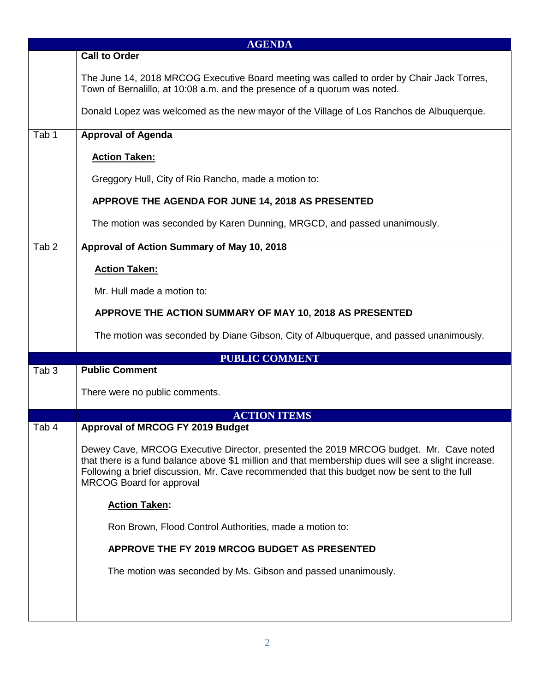| <b>AGENDA</b>    |                                                                                                                                                                                                                                                                                                                                |  |
|------------------|--------------------------------------------------------------------------------------------------------------------------------------------------------------------------------------------------------------------------------------------------------------------------------------------------------------------------------|--|
|                  | <b>Call to Order</b>                                                                                                                                                                                                                                                                                                           |  |
|                  | The June 14, 2018 MRCOG Executive Board meeting was called to order by Chair Jack Torres,<br>Town of Bernalillo, at 10:08 a.m. and the presence of a quorum was noted.                                                                                                                                                         |  |
|                  | Donald Lopez was welcomed as the new mayor of the Village of Los Ranchos de Albuquerque.                                                                                                                                                                                                                                       |  |
| Tab 1            | <b>Approval of Agenda</b>                                                                                                                                                                                                                                                                                                      |  |
|                  | <b>Action Taken:</b>                                                                                                                                                                                                                                                                                                           |  |
|                  | Greggory Hull, City of Rio Rancho, made a motion to:                                                                                                                                                                                                                                                                           |  |
|                  | APPROVE THE AGENDA FOR JUNE 14, 2018 AS PRESENTED                                                                                                                                                                                                                                                                              |  |
|                  | The motion was seconded by Karen Dunning, MRGCD, and passed unanimously.                                                                                                                                                                                                                                                       |  |
| Tab <sub>2</sub> | Approval of Action Summary of May 10, 2018                                                                                                                                                                                                                                                                                     |  |
|                  | <b>Action Taken:</b>                                                                                                                                                                                                                                                                                                           |  |
|                  | Mr. Hull made a motion to:                                                                                                                                                                                                                                                                                                     |  |
|                  | APPROVE THE ACTION SUMMARY OF MAY 10, 2018 AS PRESENTED                                                                                                                                                                                                                                                                        |  |
|                  | The motion was seconded by Diane Gibson, City of Albuquerque, and passed unanimously.                                                                                                                                                                                                                                          |  |
|                  | <b>PUBLIC COMMENT</b>                                                                                                                                                                                                                                                                                                          |  |
| Tab <sub>3</sub> | <b>Public Comment</b>                                                                                                                                                                                                                                                                                                          |  |
|                  | There were no public comments.                                                                                                                                                                                                                                                                                                 |  |
|                  | <b>ACTION ITEMS</b>                                                                                                                                                                                                                                                                                                            |  |
| Tab 4            | <b>Approval of MRCOG FY 2019 Budget</b>                                                                                                                                                                                                                                                                                        |  |
|                  | Dewey Cave, MRCOG Executive Director, presented the 2019 MRCOG budget. Mr. Cave noted<br>that there is a fund balance above \$1 million and that membership dues will see a slight increase.<br>Following a brief discussion, Mr. Cave recommended that this budget now be sent to the full<br><b>MRCOG Board for approval</b> |  |
|                  | <b>Action Taken:</b>                                                                                                                                                                                                                                                                                                           |  |
|                  | Ron Brown, Flood Control Authorities, made a motion to:                                                                                                                                                                                                                                                                        |  |
|                  | APPROVE THE FY 2019 MRCOG BUDGET AS PRESENTED                                                                                                                                                                                                                                                                                  |  |
|                  | The motion was seconded by Ms. Gibson and passed unanimously.                                                                                                                                                                                                                                                                  |  |
|                  |                                                                                                                                                                                                                                                                                                                                |  |
|                  |                                                                                                                                                                                                                                                                                                                                |  |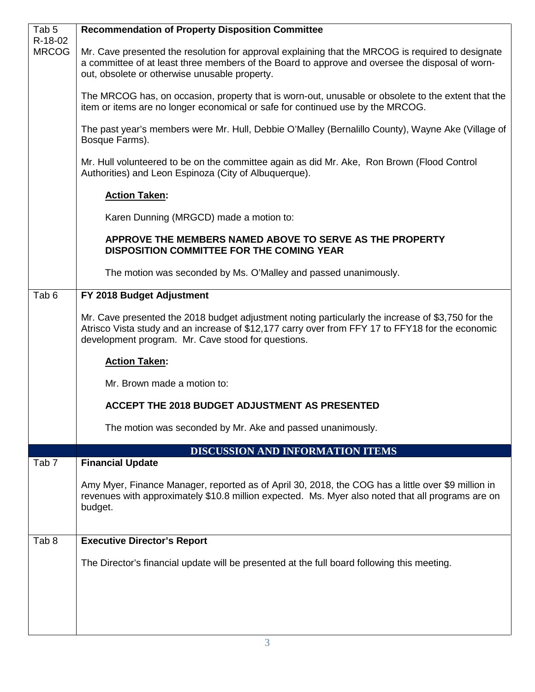| Tab <sub>5</sub>        | <b>Recommendation of Property Disposition Committee</b>                                                                                                                                                                                                     |
|-------------------------|-------------------------------------------------------------------------------------------------------------------------------------------------------------------------------------------------------------------------------------------------------------|
| R-18-02<br><b>MRCOG</b> | Mr. Cave presented the resolution for approval explaining that the MRCOG is required to designate<br>a committee of at least three members of the Board to approve and oversee the disposal of worn-<br>out, obsolete or otherwise unusable property.       |
|                         | The MRCOG has, on occasion, property that is worn-out, unusable or obsolete to the extent that the<br>item or items are no longer economical or safe for continued use by the MRCOG.                                                                        |
|                         | The past year's members were Mr. Hull, Debbie O'Malley (Bernalillo County), Wayne Ake (Village of<br>Bosque Farms).                                                                                                                                         |
|                         | Mr. Hull volunteered to be on the committee again as did Mr. Ake, Ron Brown (Flood Control<br>Authorities) and Leon Espinoza (City of Albuquerque).                                                                                                         |
|                         | <b>Action Taken:</b>                                                                                                                                                                                                                                        |
|                         | Karen Dunning (MRGCD) made a motion to:                                                                                                                                                                                                                     |
|                         | APPROVE THE MEMBERS NAMED ABOVE TO SERVE AS THE PROPERTY<br>DISPOSITION COMMITTEE FOR THE COMING YEAR                                                                                                                                                       |
|                         | The motion was seconded by Ms. O'Malley and passed unanimously.                                                                                                                                                                                             |
| Tab <sub>6</sub>        | FY 2018 Budget Adjustment                                                                                                                                                                                                                                   |
|                         | Mr. Cave presented the 2018 budget adjustment noting particularly the increase of \$3,750 for the<br>Atrisco Vista study and an increase of \$12,177 carry over from FFY 17 to FFY18 for the economic<br>development program. Mr. Cave stood for questions. |
|                         | <b>Action Taken:</b>                                                                                                                                                                                                                                        |
|                         | Mr. Brown made a motion to:                                                                                                                                                                                                                                 |
|                         | ACCEPT THE 2018 BUDGET ADJUSTMENT AS PRESENTED                                                                                                                                                                                                              |
|                         | The motion was seconded by Mr. Ake and passed unanimously.                                                                                                                                                                                                  |
|                         | <b>DISCUSSION AND INFORMATION ITEMS</b>                                                                                                                                                                                                                     |
| Tab <sub>7</sub>        | <b>Financial Update</b>                                                                                                                                                                                                                                     |
|                         | Amy Myer, Finance Manager, reported as of April 30, 2018, the COG has a little over \$9 million in<br>revenues with approximately \$10.8 million expected. Ms. Myer also noted that all programs are on<br>budget.                                          |
| Tab <sub>8</sub>        | <b>Executive Director's Report</b>                                                                                                                                                                                                                          |
|                         | The Director's financial update will be presented at the full board following this meeting.                                                                                                                                                                 |
|                         |                                                                                                                                                                                                                                                             |
|                         |                                                                                                                                                                                                                                                             |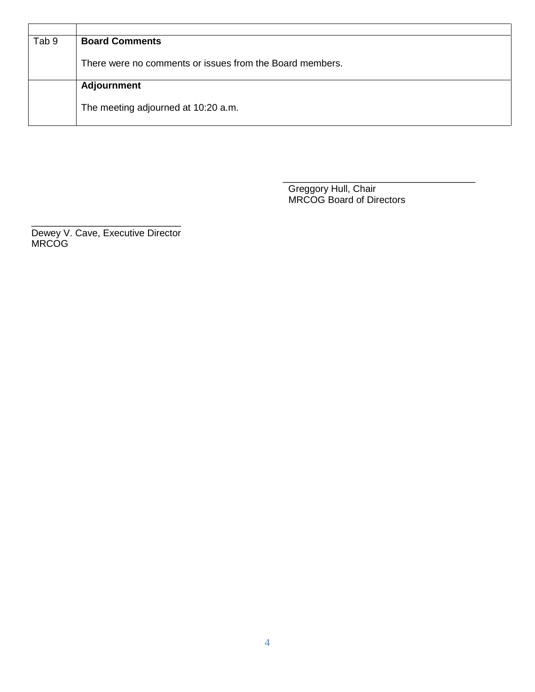| Tab 9 | <b>Board Comments</b>                                    |
|-------|----------------------------------------------------------|
|       |                                                          |
|       | There were no comments or issues from the Board members. |
|       |                                                          |
|       | <b>Adjournment</b>                                       |
|       |                                                          |
|       | The meeting adjourned at 10:20 a.m.                      |
|       |                                                          |
|       |                                                          |

\_\_\_\_\_\_\_\_\_\_\_\_\_\_\_\_\_\_\_\_\_\_\_\_\_\_\_\_\_\_\_\_\_\_\_\_ Greggory Hull, Chair **MRCOG Board of Directors COVERTS** 

\_\_\_\_\_\_\_\_\_\_\_\_\_\_\_\_\_\_\_\_\_\_\_\_\_\_\_\_ Dewey V. Cave, Executive Director MRCOG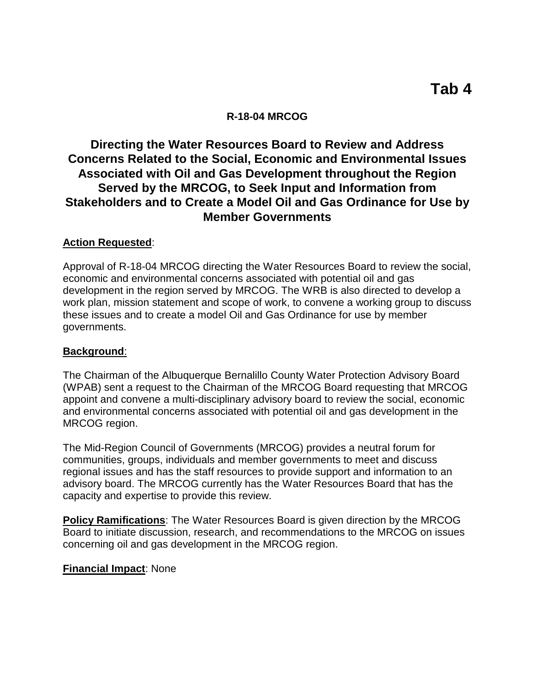### **R-18-04 MRCOG**

## **Directing the Water Resources Board to Review and Address Concerns Related to the Social, Economic and Environmental Issues Associated with Oil and Gas Development throughout the Region Served by the MRCOG, to Seek Input and Information from Stakeholders and to Create a Model Oil and Gas Ordinance for Use by Member Governments**

#### **Action Requested**:

Approval of R-18-04 MRCOG directing the Water Resources Board to review the social, economic and environmental concerns associated with potential oil and gas development in the region served by MRCOG. The WRB is also directed to develop a work plan, mission statement and scope of work, to convene a working group to discuss these issues and to create a model Oil and Gas Ordinance for use by member governments.

#### **Background**:

The Chairman of the Albuquerque Bernalillo County Water Protection Advisory Board (WPAB) sent a request to the Chairman of the MRCOG Board requesting that MRCOG appoint and convene a multi-disciplinary advisory board to review the social, economic and environmental concerns associated with potential oil and gas development in the MRCOG region.

The Mid-Region Council of Governments (MRCOG) provides a neutral forum for communities, groups, individuals and member governments to meet and discuss regional issues and has the staff resources to provide support and information to an advisory board. The MRCOG currently has the Water Resources Board that has the capacity and expertise to provide this review.

**Policy Ramifications**: The Water Resources Board is given direction by the MRCOG Board to initiate discussion, research, and recommendations to the MRCOG on issues concerning oil and gas development in the MRCOG region.

#### **Financial Impact**: None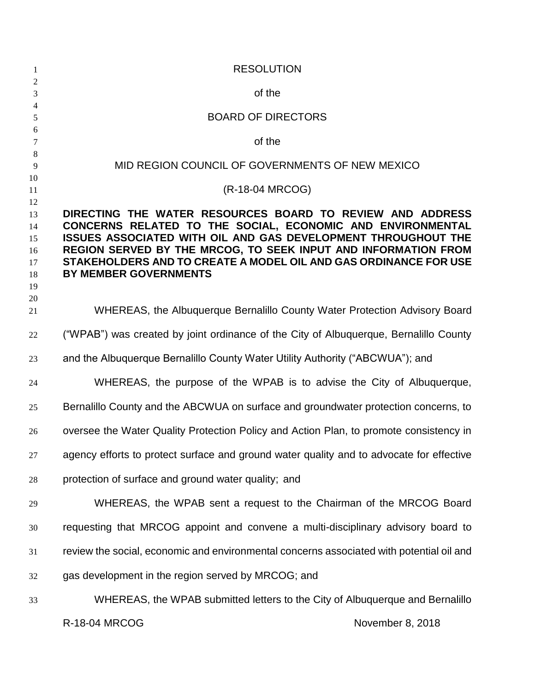| $\mathbf{1}$                                 | <b>RESOLUTION</b>                                                                                                                                                                                                                                                                                                                                                     |
|----------------------------------------------|-----------------------------------------------------------------------------------------------------------------------------------------------------------------------------------------------------------------------------------------------------------------------------------------------------------------------------------------------------------------------|
| $\sqrt{2}$<br>$\mathfrak{Z}$                 | of the                                                                                                                                                                                                                                                                                                                                                                |
| $\overline{4}$<br>5                          | <b>BOARD OF DIRECTORS</b>                                                                                                                                                                                                                                                                                                                                             |
| 6                                            | of the                                                                                                                                                                                                                                                                                                                                                                |
| 7<br>8                                       |                                                                                                                                                                                                                                                                                                                                                                       |
| 9                                            | MID REGION COUNCIL OF GOVERNMENTS OF NEW MEXICO                                                                                                                                                                                                                                                                                                                       |
| 10<br>11                                     | (R-18-04 MRCOG)                                                                                                                                                                                                                                                                                                                                                       |
| 12<br>13<br>14<br>15<br>16<br>17<br>18<br>19 | DIRECTING THE WATER RESOURCES BOARD TO REVIEW AND ADDRESS<br>CONCERNS RELATED TO THE SOCIAL, ECONOMIC AND ENVIRONMENTAL<br><b>ISSUES ASSOCIATED WITH OIL AND GAS DEVELOPMENT THROUGHOUT THE</b><br>REGION SERVED BY THE MRCOG, TO SEEK INPUT AND INFORMATION FROM<br>STAKEHOLDERS AND TO CREATE A MODEL OIL AND GAS ORDINANCE FOR USE<br><b>BY MEMBER GOVERNMENTS</b> |
| 20<br>21                                     | WHEREAS, the Albuquerque Bernalillo County Water Protection Advisory Board                                                                                                                                                                                                                                                                                            |
| 22                                           | ("WPAB") was created by joint ordinance of the City of Albuquerque, Bernalillo County                                                                                                                                                                                                                                                                                 |
| 23                                           | and the Albuquerque Bernalillo County Water Utility Authority ("ABCWUA"); and                                                                                                                                                                                                                                                                                         |
| 24                                           | WHEREAS, the purpose of the WPAB is to advise the City of Albuquerque,                                                                                                                                                                                                                                                                                                |
| 25                                           | Bernalillo County and the ABCWUA on surface and groundwater protection concerns, to                                                                                                                                                                                                                                                                                   |
| 26                                           | oversee the Water Quality Protection Policy and Action Plan, to promote consistency in                                                                                                                                                                                                                                                                                |
| 27                                           | agency efforts to protect surface and ground water quality and to advocate for effective                                                                                                                                                                                                                                                                              |
| $28\,$                                       | protection of surface and ground water quality; and                                                                                                                                                                                                                                                                                                                   |
| 29                                           | WHEREAS, the WPAB sent a request to the Chairman of the MRCOG Board                                                                                                                                                                                                                                                                                                   |
| 30                                           | requesting that MRCOG appoint and convene a multi-disciplinary advisory board to                                                                                                                                                                                                                                                                                      |
| 31                                           | review the social, economic and environmental concerns associated with potential oil and                                                                                                                                                                                                                                                                              |
| 32                                           | gas development in the region served by MRCOG; and                                                                                                                                                                                                                                                                                                                    |
| 33                                           | WHEREAS, the WPAB submitted letters to the City of Albuquerque and Bernalillo                                                                                                                                                                                                                                                                                         |
|                                              | R-18-04 MRCOG<br>November 8, 2018                                                                                                                                                                                                                                                                                                                                     |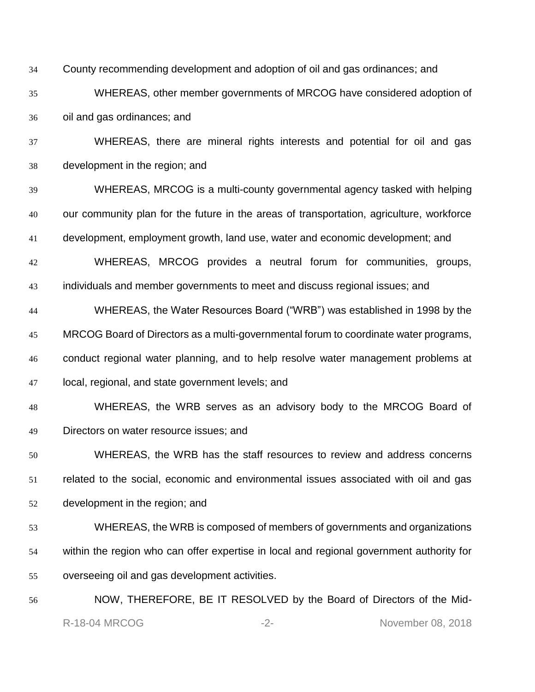County recommending development and adoption of oil and gas ordinances; and

 WHEREAS, other member governments of MRCOG have considered adoption of oil and gas ordinances; and

 WHEREAS, there are mineral rights interests and potential for oil and gas development in the region; and

 WHEREAS, MRCOG is a multi-county governmental agency tasked with helping our community plan for the future in the areas of transportation, agriculture, workforce development, employment growth, land use, water and economic development; and

 WHEREAS, MRCOG provides a neutral forum for communities, groups, individuals and member governments to meet and discuss regional issues; and

 WHEREAS, the Water Resources Board ("WRB") was established in 1998 by the MRCOG Board of Directors as a multi-governmental forum to coordinate water programs, conduct regional water planning, and to help resolve water management problems at local, regional, and state government levels; and

# WHEREAS, the WRB serves as an advisory body to the MRCOG Board of Directors on water resource issues; and

 WHEREAS, the WRB has the staff resources to review and address concerns related to the social, economic and environmental issues associated with oil and gas development in the region; and

- WHEREAS, the WRB is composed of members of governments and organizations within the region who can offer expertise in local and regional government authority for overseeing oil and gas development activities.
- R-18-04 MRCOG -2- 2- November 08, 2018 NOW, THEREFORE, BE IT RESOLVED by the Board of Directors of the Mid-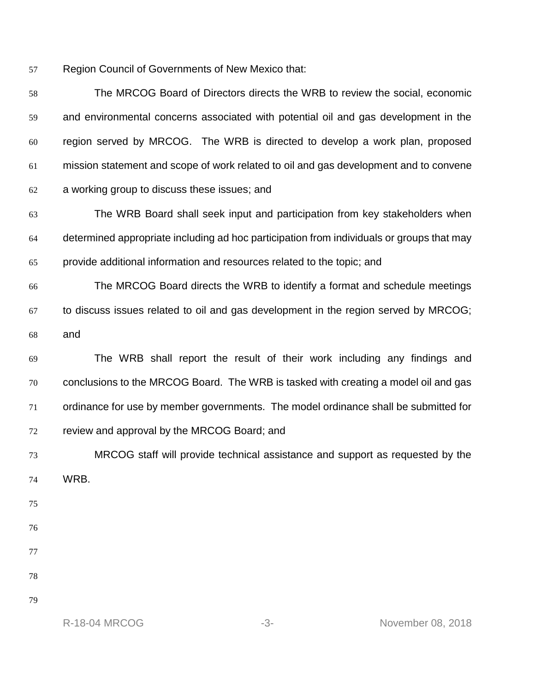Region Council of Governments of New Mexico that:

| 58 | The MRCOG Board of Directors directs the WRB to review the social, economic               |
|----|-------------------------------------------------------------------------------------------|
| 59 | and environmental concerns associated with potential oil and gas development in the       |
| 60 | region served by MRCOG. The WRB is directed to develop a work plan, proposed              |
| 61 | mission statement and scope of work related to oil and gas development and to convene     |
| 62 | a working group to discuss these issues; and                                              |
| 63 | The WRB Board shall seek input and participation from key stakeholders when               |
| 64 | determined appropriate including ad hoc participation from individuals or groups that may |
| 65 | provide additional information and resources related to the topic; and                    |
| 66 | The MRCOG Board directs the WRB to identify a format and schedule meetings                |
| 67 | to discuss issues related to oil and gas development in the region served by MRCOG;       |
| 68 | and                                                                                       |
| 69 | The WRB shall report the result of their work including any findings and                  |
| 70 | conclusions to the MRCOG Board. The WRB is tasked with creating a model oil and gas       |
| 71 | ordinance for use by member governments. The model ordinance shall be submitted for       |
| 72 | review and approval by the MRCOG Board; and                                               |
| 73 | MRCOG staff will provide technical assistance and support as requested by the             |
| 74 | WRB.                                                                                      |
| 75 |                                                                                           |
| 76 |                                                                                           |
| 77 |                                                                                           |
| 78 |                                                                                           |
| 79 |                                                                                           |
|    | <b>R-18-04 MRCOG</b><br>November 08, 2018<br>$-3-$                                        |